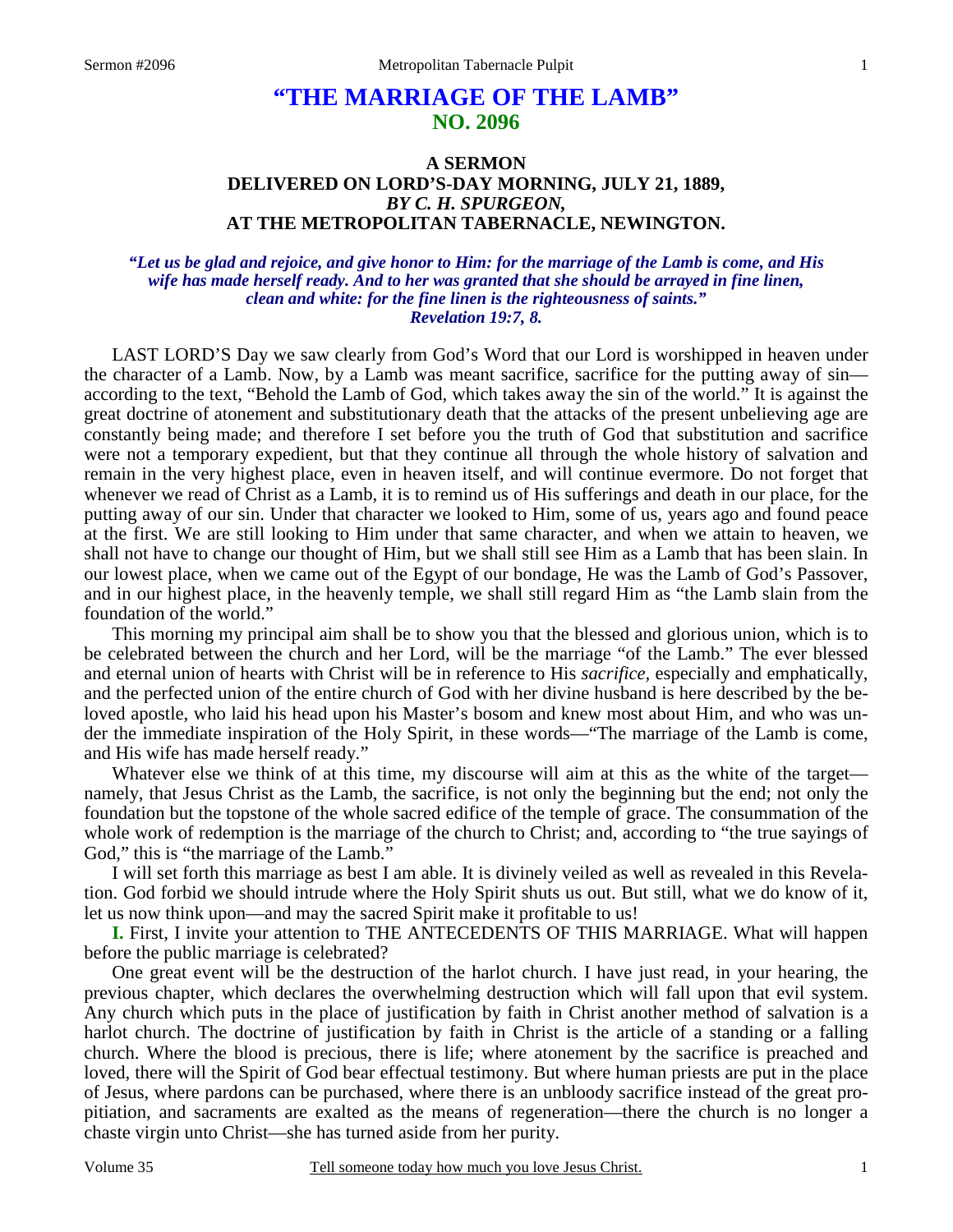# **"THE MARRIAGE OF THE LAMB" NO. 2096**

## **A SERMON DELIVERED ON LORD'S-DAY MORNING, JULY 21, 1889,**  *BY C. H. SPURGEON,*  **AT THE METROPOLITAN TABERNACLE, NEWINGTON.**

### *"Let us be glad and rejoice, and give honor to Him: for the marriage of the Lamb is come, and His wife has made herself ready. And to her was granted that she should be arrayed in fine linen, clean and white: for the fine linen is the righteousness of saints." Revelation 19:7, 8.*

LAST LORD'S Day we saw clearly from God's Word that our Lord is worshipped in heaven under the character of a Lamb. Now, by a Lamb was meant sacrifice, sacrifice for the putting away of sin according to the text, "Behold the Lamb of God, which takes away the sin of the world." It is against the great doctrine of atonement and substitutionary death that the attacks of the present unbelieving age are constantly being made; and therefore I set before you the truth of God that substitution and sacrifice were not a temporary expedient, but that they continue all through the whole history of salvation and remain in the very highest place, even in heaven itself, and will continue evermore. Do not forget that whenever we read of Christ as a Lamb, it is to remind us of His sufferings and death in our place, for the putting away of our sin. Under that character we looked to Him, some of us, years ago and found peace at the first. We are still looking to Him under that same character, and when we attain to heaven, we shall not have to change our thought of Him, but we shall still see Him as a Lamb that has been slain. In our lowest place, when we came out of the Egypt of our bondage, He was the Lamb of God's Passover, and in our highest place, in the heavenly temple, we shall still regard Him as "the Lamb slain from the foundation of the world."

This morning my principal aim shall be to show you that the blessed and glorious union, which is to be celebrated between the church and her Lord, will be the marriage "of the Lamb." The ever blessed and eternal union of hearts with Christ will be in reference to His *sacrifice,* especially and emphatically, and the perfected union of the entire church of God with her divine husband is here described by the beloved apostle, who laid his head upon his Master's bosom and knew most about Him, and who was under the immediate inspiration of the Holy Spirit, in these words—"The marriage of the Lamb is come, and His wife has made herself ready."

Whatever else we think of at this time, my discourse will aim at this as the white of the target namely, that Jesus Christ as the Lamb, the sacrifice, is not only the beginning but the end; not only the foundation but the topstone of the whole sacred edifice of the temple of grace. The consummation of the whole work of redemption is the marriage of the church to Christ; and, according to "the true sayings of God," this is "the marriage of the Lamb."

I will set forth this marriage as best I am able. It is divinely veiled as well as revealed in this Revelation. God forbid we should intrude where the Holy Spirit shuts us out. But still, what we do know of it, let us now think upon—and may the sacred Spirit make it profitable to us!

**I.** First, I invite your attention to THE ANTECEDENTS OF THIS MARRIAGE. What will happen before the public marriage is celebrated?

One great event will be the destruction of the harlot church. I have just read, in your hearing, the previous chapter, which declares the overwhelming destruction which will fall upon that evil system. Any church which puts in the place of justification by faith in Christ another method of salvation is a harlot church. The doctrine of justification by faith in Christ is the article of a standing or a falling church. Where the blood is precious, there is life; where atonement by the sacrifice is preached and loved, there will the Spirit of God bear effectual testimony. But where human priests are put in the place of Jesus, where pardons can be purchased, where there is an unbloody sacrifice instead of the great propitiation, and sacraments are exalted as the means of regeneration—there the church is no longer a chaste virgin unto Christ—she has turned aside from her purity.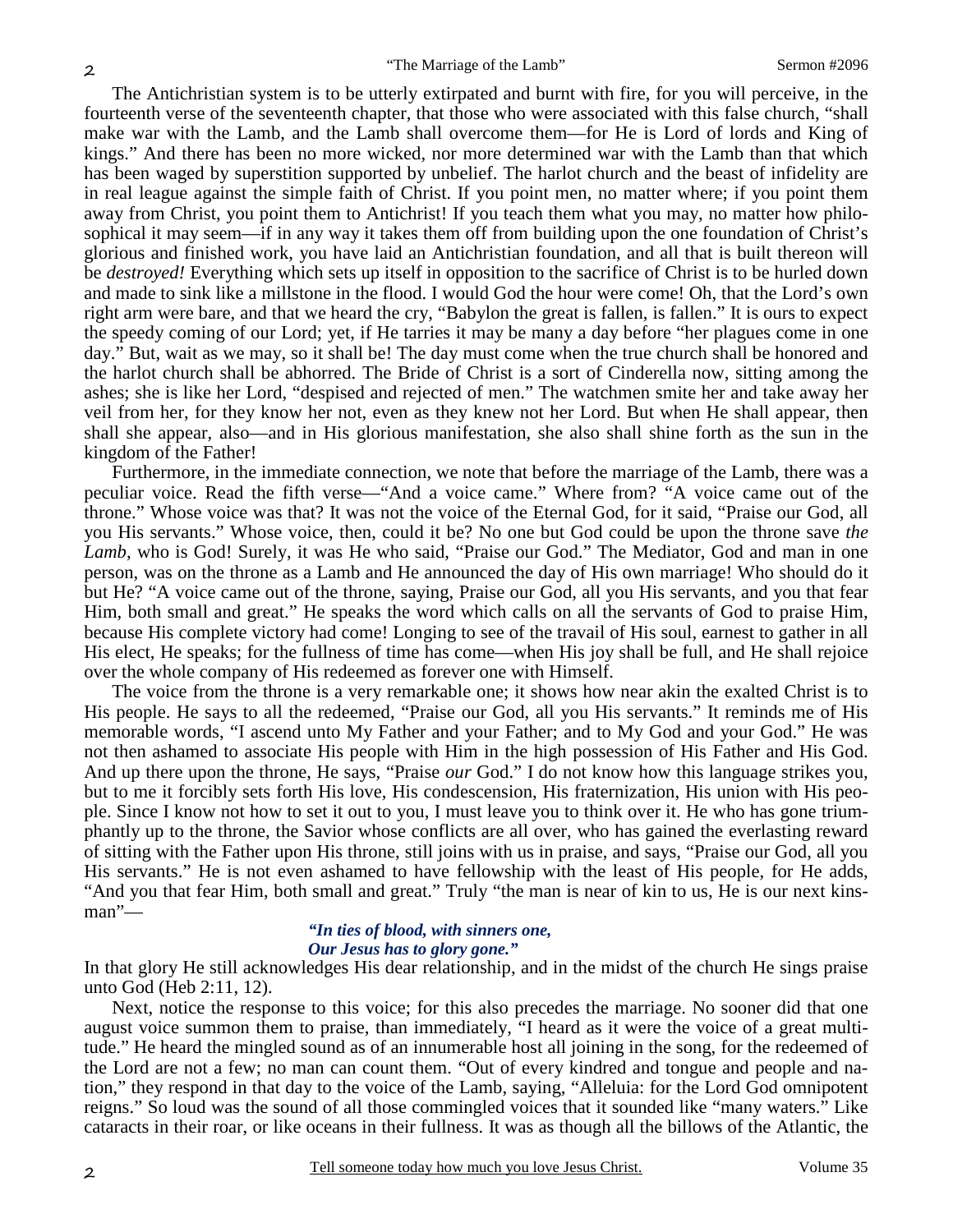The Antichristian system is to be utterly extirpated and burnt with fire, for you will perceive, in the fourteenth verse of the seventeenth chapter, that those who were associated with this false church, "shall make war with the Lamb, and the Lamb shall overcome them—for He is Lord of lords and King of kings." And there has been no more wicked, nor more determined war with the Lamb than that which has been waged by superstition supported by unbelief. The harlot church and the beast of infidelity are in real league against the simple faith of Christ. If you point men, no matter where; if you point them away from Christ, you point them to Antichrist! If you teach them what you may, no matter how philosophical it may seem—if in any way it takes them off from building upon the one foundation of Christ's glorious and finished work, you have laid an Antichristian foundation, and all that is built thereon will be *destroyed!* Everything which sets up itself in opposition to the sacrifice of Christ is to be hurled down and made to sink like a millstone in the flood. I would God the hour were come! Oh, that the Lord's own right arm were bare, and that we heard the cry, "Babylon the great is fallen, is fallen." It is ours to expect the speedy coming of our Lord; yet, if He tarries it may be many a day before "her plagues come in one day." But, wait as we may, so it shall be! The day must come when the true church shall be honored and the harlot church shall be abhorred. The Bride of Christ is a sort of Cinderella now, sitting among the ashes; she is like her Lord, "despised and rejected of men." The watchmen smite her and take away her veil from her, for they know her not, even as they knew not her Lord. But when He shall appear, then shall she appear, also—and in His glorious manifestation, she also shall shine forth as the sun in the kingdom of the Father!

Furthermore, in the immediate connection, we note that before the marriage of the Lamb, there was a peculiar voice. Read the fifth verse—"And a voice came." Where from? "A voice came out of the throne." Whose voice was that? It was not the voice of the Eternal God, for it said, "Praise our God, all you His servants." Whose voice, then, could it be? No one but God could be upon the throne save *the Lamb,* who is God! Surely, it was He who said, "Praise our God." The Mediator, God and man in one person, was on the throne as a Lamb and He announced the day of His own marriage! Who should do it but He? "A voice came out of the throne, saying, Praise our God, all you His servants, and you that fear Him, both small and great." He speaks the word which calls on all the servants of God to praise Him, because His complete victory had come! Longing to see of the travail of His soul, earnest to gather in all His elect, He speaks; for the fullness of time has come—when His joy shall be full, and He shall rejoice over the whole company of His redeemed as forever one with Himself.

The voice from the throne is a very remarkable one; it shows how near akin the exalted Christ is to His people. He says to all the redeemed, "Praise our God, all you His servants." It reminds me of His memorable words, "I ascend unto My Father and your Father; and to My God and your God." He was not then ashamed to associate His people with Him in the high possession of His Father and His God. And up there upon the throne, He says, "Praise *our* God." I do not know how this language strikes you, but to me it forcibly sets forth His love, His condescension, His fraternization, His union with His people. Since I know not how to set it out to you, I must leave you to think over it. He who has gone triumphantly up to the throne, the Savior whose conflicts are all over, who has gained the everlasting reward of sitting with the Father upon His throne, still joins with us in praise, and says, "Praise our God, all you His servants." He is not even ashamed to have fellowship with the least of His people, for He adds, "And you that fear Him, both small and great." Truly "the man is near of kin to us, He is our next kinsman"—

## *"In ties of blood, with sinners one, Our Jesus has to glory gone."*

In that glory He still acknowledges His dear relationship, and in the midst of the church He sings praise unto God (Heb 2:11, 12).

Next, notice the response to this voice; for this also precedes the marriage. No sooner did that one august voice summon them to praise, than immediately, "I heard as it were the voice of a great multitude." He heard the mingled sound as of an innumerable host all joining in the song, for the redeemed of the Lord are not a few; no man can count them. "Out of every kindred and tongue and people and nation," they respond in that day to the voice of the Lamb, saying, "Alleluia: for the Lord God omnipotent reigns." So loud was the sound of all those commingled voices that it sounded like "many waters." Like cataracts in their roar, or like oceans in their fullness. It was as though all the billows of the Atlantic, the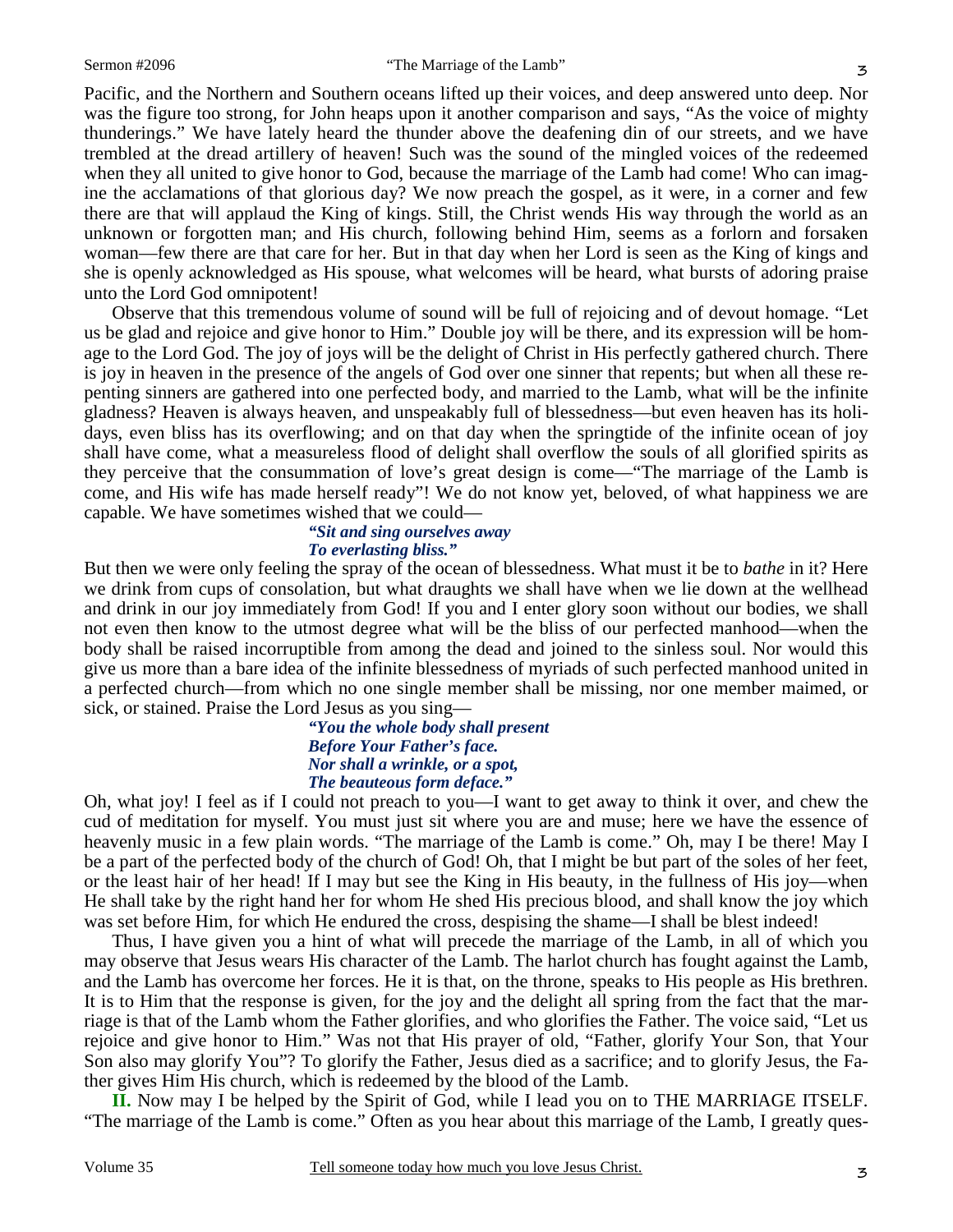Pacific, and the Northern and Southern oceans lifted up their voices, and deep answered unto deep. Nor was the figure too strong, for John heaps upon it another comparison and says, "As the voice of mighty thunderings." We have lately heard the thunder above the deafening din of our streets, and we have trembled at the dread artillery of heaven! Such was the sound of the mingled voices of the redeemed when they all united to give honor to God, because the marriage of the Lamb had come! Who can imagine the acclamations of that glorious day? We now preach the gospel, as it were, in a corner and few there are that will applaud the King of kings. Still, the Christ wends His way through the world as an unknown or forgotten man; and His church, following behind Him, seems as a forlorn and forsaken woman—few there are that care for her. But in that day when her Lord is seen as the King of kings and she is openly acknowledged as His spouse, what welcomes will be heard, what bursts of adoring praise unto the Lord God omnipotent!

Observe that this tremendous volume of sound will be full of rejoicing and of devout homage. "Let us be glad and rejoice and give honor to Him." Double joy will be there, and its expression will be homage to the Lord God. The joy of joys will be the delight of Christ in His perfectly gathered church. There is joy in heaven in the presence of the angels of God over one sinner that repents; but when all these repenting sinners are gathered into one perfected body, and married to the Lamb, what will be the infinite gladness? Heaven is always heaven, and unspeakably full of blessedness—but even heaven has its holidays, even bliss has its overflowing; and on that day when the springtide of the infinite ocean of joy shall have come, what a measureless flood of delight shall overflow the souls of all glorified spirits as they perceive that the consummation of love's great design is come—"The marriage of the Lamb is come, and His wife has made herself ready"! We do not know yet, beloved, of what happiness we are capable. We have sometimes wished that we could—

#### *"Sit and sing ourselves away To everlasting bliss."*

But then we were only feeling the spray of the ocean of blessedness. What must it be to *bathe* in it? Here we drink from cups of consolation, but what draughts we shall have when we lie down at the wellhead and drink in our joy immediately from God! If you and I enter glory soon without our bodies, we shall not even then know to the utmost degree what will be the bliss of our perfected manhood—when the body shall be raised incorruptible from among the dead and joined to the sinless soul. Nor would this give us more than a bare idea of the infinite blessedness of myriads of such perfected manhood united in a perfected church—from which no one single member shall be missing, nor one member maimed, or sick, or stained. Praise the Lord Jesus as you sing—

> *"You the whole body shall present Before Your Father's face. Nor shall a wrinkle, or a spot, The beauteous form deface."*

Oh, what joy! I feel as if I could not preach to you—I want to get away to think it over, and chew the cud of meditation for myself. You must just sit where you are and muse; here we have the essence of heavenly music in a few plain words. "The marriage of the Lamb is come." Oh, may I be there! May I be a part of the perfected body of the church of God! Oh, that I might be but part of the soles of her feet, or the least hair of her head! If I may but see the King in His beauty, in the fullness of His joy—when He shall take by the right hand her for whom He shed His precious blood, and shall know the joy which was set before Him, for which He endured the cross, despising the shame—I shall be blest indeed!

Thus, I have given you a hint of what will precede the marriage of the Lamb, in all of which you may observe that Jesus wears His character of the Lamb. The harlot church has fought against the Lamb, and the Lamb has overcome her forces. He it is that, on the throne, speaks to His people as His brethren. It is to Him that the response is given, for the joy and the delight all spring from the fact that the marriage is that of the Lamb whom the Father glorifies, and who glorifies the Father. The voice said, "Let us rejoice and give honor to Him." Was not that His prayer of old, "Father, glorify Your Son, that Your Son also may glorify You"? To glorify the Father, Jesus died as a sacrifice; and to glorify Jesus, the Father gives Him His church, which is redeemed by the blood of the Lamb.

**II.** Now may I be helped by the Spirit of God, while I lead you on to THE MARRIAGE ITSELF. "The marriage of the Lamb is come." Often as you hear about this marriage of the Lamb, I greatly ques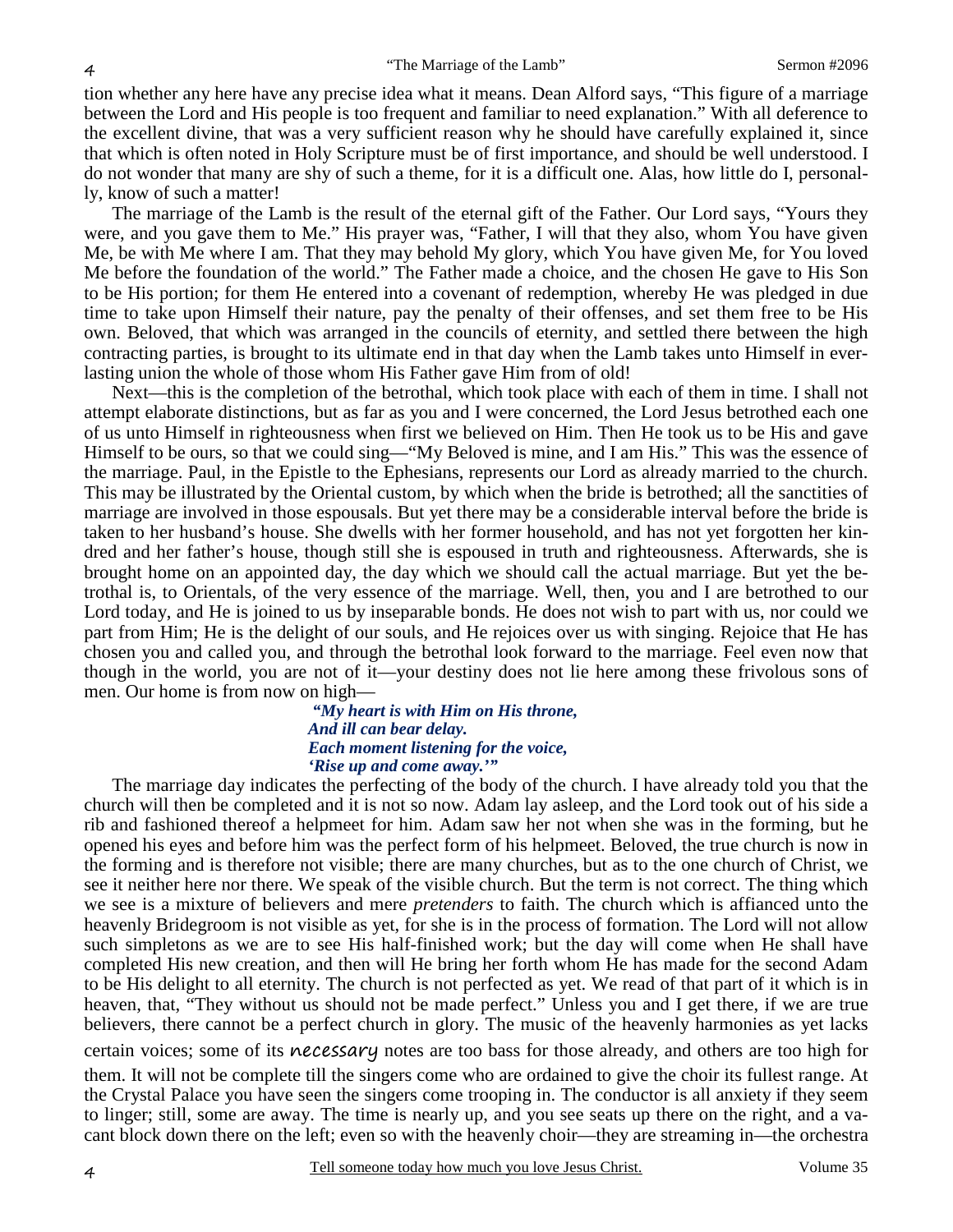tion whether any here have any precise idea what it means. Dean Alford says, "This figure of a marriage between the Lord and His people is too frequent and familiar to need explanation." With all deference to the excellent divine, that was a very sufficient reason why he should have carefully explained it, since that which is often noted in Holy Scripture must be of first importance, and should be well understood. I do not wonder that many are shy of such a theme, for it is a difficult one. Alas, how little do I, personally, know of such a matter!

The marriage of the Lamb is the result of the eternal gift of the Father. Our Lord says, "Yours they were, and you gave them to Me." His prayer was, "Father, I will that they also, whom You have given Me, be with Me where I am. That they may behold My glory, which You have given Me, for You loved Me before the foundation of the world." The Father made a choice, and the chosen He gave to His Son to be His portion; for them He entered into a covenant of redemption, whereby He was pledged in due time to take upon Himself their nature, pay the penalty of their offenses, and set them free to be His own. Beloved, that which was arranged in the councils of eternity, and settled there between the high contracting parties, is brought to its ultimate end in that day when the Lamb takes unto Himself in everlasting union the whole of those whom His Father gave Him from of old!

Next—this is the completion of the betrothal, which took place with each of them in time. I shall not attempt elaborate distinctions, but as far as you and I were concerned, the Lord Jesus betrothed each one of us unto Himself in righteousness when first we believed on Him. Then He took us to be His and gave Himself to be ours, so that we could sing—"My Beloved is mine, and I am His." This was the essence of the marriage. Paul, in the Epistle to the Ephesians, represents our Lord as already married to the church. This may be illustrated by the Oriental custom, by which when the bride is betrothed; all the sanctities of marriage are involved in those espousals. But yet there may be a considerable interval before the bride is taken to her husband's house. She dwells with her former household, and has not yet forgotten her kindred and her father's house, though still she is espoused in truth and righteousness. Afterwards, she is brought home on an appointed day, the day which we should call the actual marriage. But yet the betrothal is, to Orientals, of the very essence of the marriage. Well, then, you and I are betrothed to our Lord today, and He is joined to us by inseparable bonds. He does not wish to part with us, nor could we part from Him; He is the delight of our souls, and He rejoices over us with singing. Rejoice that He has chosen you and called you, and through the betrothal look forward to the marriage. Feel even now that though in the world, you are not of it—your destiny does not lie here among these frivolous sons of men. Our home is from now on high—

*"My heart is with Him on His throne, And ill can bear delay. Each moment listening for the voice, 'Rise up and come away.'"* 

The marriage day indicates the perfecting of the body of the church. I have already told you that the church will then be completed and it is not so now. Adam lay asleep, and the Lord took out of his side a rib and fashioned thereof a helpmeet for him. Adam saw her not when she was in the forming, but he opened his eyes and before him was the perfect form of his helpmeet. Beloved, the true church is now in the forming and is therefore not visible; there are many churches, but as to the one church of Christ, we see it neither here nor there. We speak of the visible church. But the term is not correct. The thing which we see is a mixture of believers and mere *pretenders* to faith. The church which is affianced unto the heavenly Bridegroom is not visible as yet, for she is in the process of formation. The Lord will not allow such simpletons as we are to see His half-finished work; but the day will come when He shall have completed His new creation, and then will He bring her forth whom He has made for the second Adam to be His delight to all eternity. The church is not perfected as yet. We read of that part of it which is in heaven, that, "They without us should not be made perfect." Unless you and I get there, if we are true believers, there cannot be a perfect church in glory. The music of the heavenly harmonies as yet lacks

certain voices; some of its necessary notes are too bass for those already, and others are too high for them. It will not be complete till the singers come who are ordained to give the choir its fullest range. At the Crystal Palace you have seen the singers come trooping in. The conductor is all anxiety if they seem to linger; still, some are away. The time is nearly up, and you see seats up there on the right, and a vacant block down there on the left; even so with the heavenly choir—they are streaming in—the orchestra

4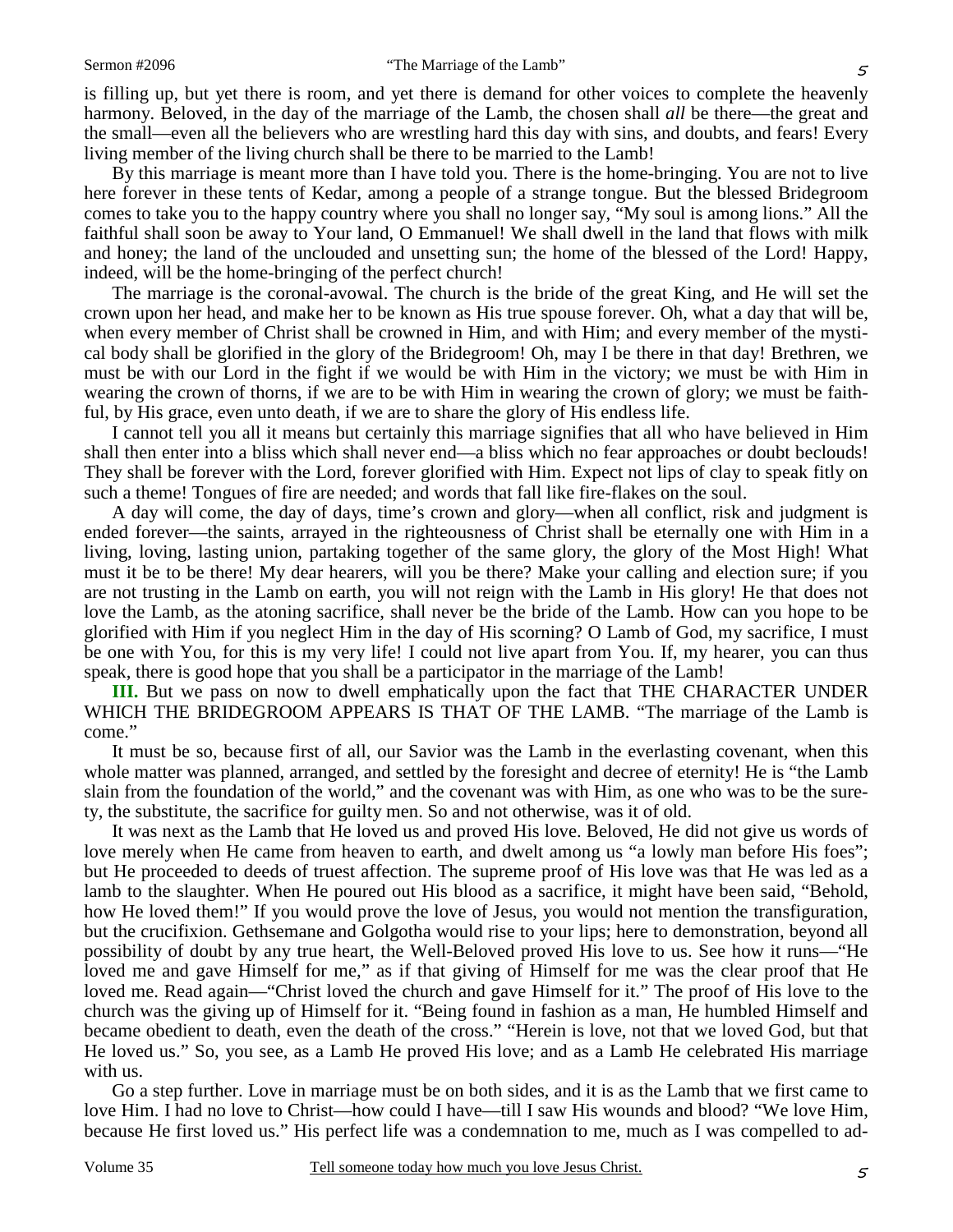is filling up, but yet there is room, and yet there is demand for other voices to complete the heavenly harmony. Beloved, in the day of the marriage of the Lamb, the chosen shall *all* be there—the great and the small—even all the believers who are wrestling hard this day with sins, and doubts, and fears! Every living member of the living church shall be there to be married to the Lamb!

By this marriage is meant more than I have told you. There is the home-bringing. You are not to live here forever in these tents of Kedar, among a people of a strange tongue. But the blessed Bridegroom comes to take you to the happy country where you shall no longer say, "My soul is among lions." All the faithful shall soon be away to Your land, O Emmanuel! We shall dwell in the land that flows with milk and honey; the land of the unclouded and unsetting sun; the home of the blessed of the Lord! Happy, indeed, will be the home-bringing of the perfect church!

The marriage is the coronal-avowal. The church is the bride of the great King, and He will set the crown upon her head, and make her to be known as His true spouse forever. Oh, what a day that will be, when every member of Christ shall be crowned in Him, and with Him; and every member of the mystical body shall be glorified in the glory of the Bridegroom! Oh, may I be there in that day! Brethren, we must be with our Lord in the fight if we would be with Him in the victory; we must be with Him in wearing the crown of thorns, if we are to be with Him in wearing the crown of glory; we must be faithful, by His grace, even unto death, if we are to share the glory of His endless life.

I cannot tell you all it means but certainly this marriage signifies that all who have believed in Him shall then enter into a bliss which shall never end—a bliss which no fear approaches or doubt beclouds! They shall be forever with the Lord, forever glorified with Him. Expect not lips of clay to speak fitly on such a theme! Tongues of fire are needed; and words that fall like fire-flakes on the soul.

A day will come, the day of days, time's crown and glory—when all conflict, risk and judgment is ended forever—the saints, arrayed in the righteousness of Christ shall be eternally one with Him in a living, loving, lasting union, partaking together of the same glory, the glory of the Most High! What must it be to be there! My dear hearers, will you be there? Make your calling and election sure; if you are not trusting in the Lamb on earth, you will not reign with the Lamb in His glory! He that does not love the Lamb, as the atoning sacrifice, shall never be the bride of the Lamb. How can you hope to be glorified with Him if you neglect Him in the day of His scorning? O Lamb of God, my sacrifice, I must be one with You, for this is my very life! I could not live apart from You. If, my hearer, you can thus speak, there is good hope that you shall be a participator in the marriage of the Lamb!

**III.** But we pass on now to dwell emphatically upon the fact that THE CHARACTER UNDER WHICH THE BRIDEGROOM APPEARS IS THAT OF THE LAMB. "The marriage of the Lamb is come."

It must be so, because first of all, our Savior was the Lamb in the everlasting covenant, when this whole matter was planned, arranged, and settled by the foresight and decree of eternity! He is "the Lamb slain from the foundation of the world," and the covenant was with Him, as one who was to be the surety, the substitute, the sacrifice for guilty men. So and not otherwise, was it of old.

It was next as the Lamb that He loved us and proved His love. Beloved, He did not give us words of love merely when He came from heaven to earth, and dwelt among us "a lowly man before His foes"; but He proceeded to deeds of truest affection. The supreme proof of His love was that He was led as a lamb to the slaughter. When He poured out His blood as a sacrifice, it might have been said, "Behold, how He loved them!" If you would prove the love of Jesus, you would not mention the transfiguration, but the crucifixion. Gethsemane and Golgotha would rise to your lips; here to demonstration, beyond all possibility of doubt by any true heart, the Well-Beloved proved His love to us. See how it runs—"He loved me and gave Himself for me," as if that giving of Himself for me was the clear proof that He loved me. Read again—"Christ loved the church and gave Himself for it." The proof of His love to the church was the giving up of Himself for it. "Being found in fashion as a man, He humbled Himself and became obedient to death, even the death of the cross." "Herein is love, not that we loved God, but that He loved us." So, you see, as a Lamb He proved His love; and as a Lamb He celebrated His marriage with us.

Go a step further. Love in marriage must be on both sides, and it is as the Lamb that we first came to love Him. I had no love to Christ—how could I have—till I saw His wounds and blood? "We love Him, because He first loved us." His perfect life was a condemnation to me, much as I was compelled to ad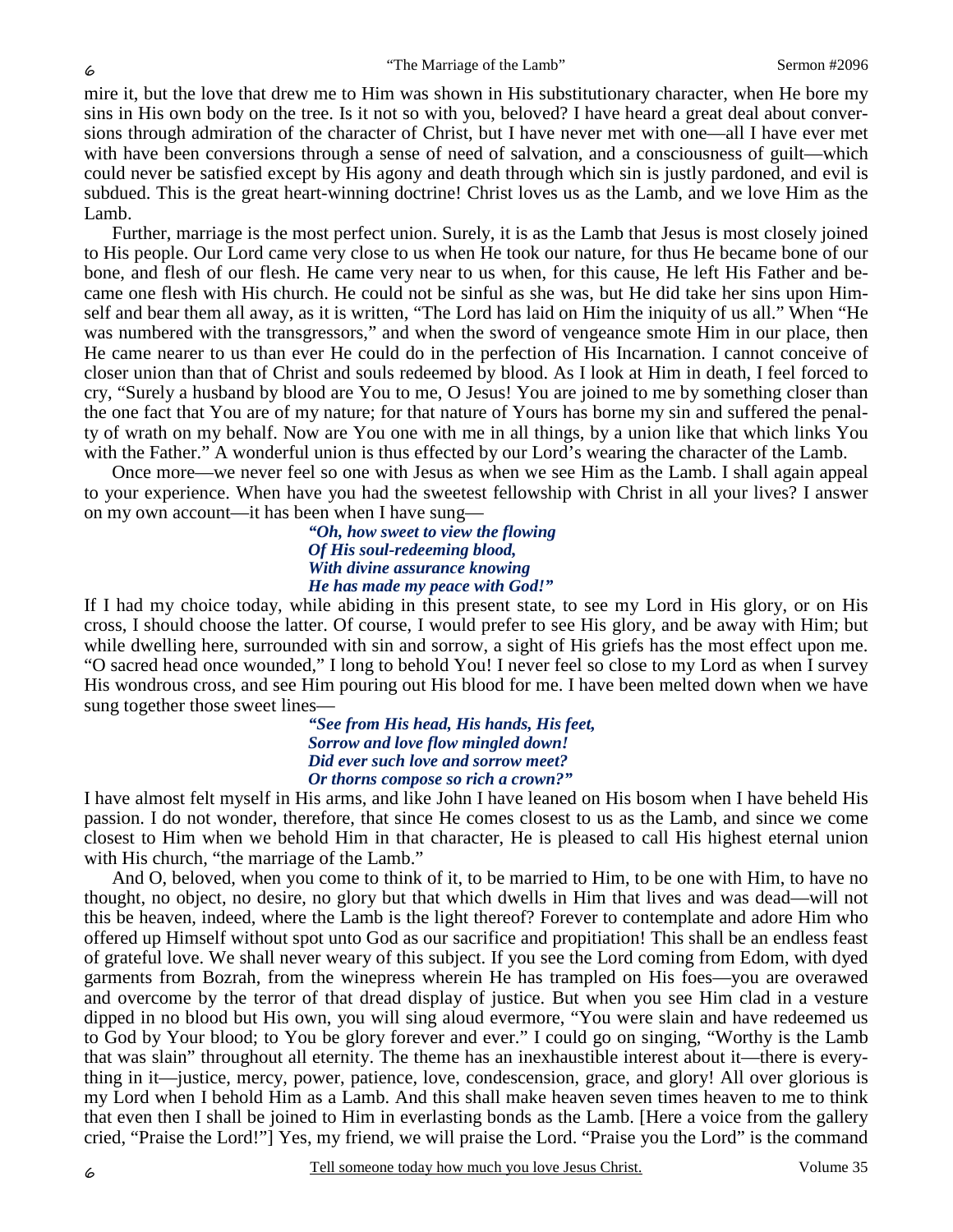mire it, but the love that drew me to Him was shown in His substitutionary character, when He bore my sins in His own body on the tree. Is it not so with you, beloved? I have heard a great deal about conversions through admiration of the character of Christ, but I have never met with one—all I have ever met with have been conversions through a sense of need of salvation, and a consciousness of guilt—which could never be satisfied except by His agony and death through which sin is justly pardoned, and evil is subdued. This is the great heart-winning doctrine! Christ loves us as the Lamb, and we love Him as the Lamb.

Further, marriage is the most perfect union. Surely, it is as the Lamb that Jesus is most closely joined to His people. Our Lord came very close to us when He took our nature, for thus He became bone of our bone, and flesh of our flesh. He came very near to us when, for this cause, He left His Father and became one flesh with His church. He could not be sinful as she was, but He did take her sins upon Himself and bear them all away, as it is written, "The Lord has laid on Him the iniquity of us all." When "He was numbered with the transgressors," and when the sword of vengeance smote Him in our place, then He came nearer to us than ever He could do in the perfection of His Incarnation. I cannot conceive of closer union than that of Christ and souls redeemed by blood. As I look at Him in death, I feel forced to cry, "Surely a husband by blood are You to me, O Jesus! You are joined to me by something closer than the one fact that You are of my nature; for that nature of Yours has borne my sin and suffered the penalty of wrath on my behalf. Now are You one with me in all things, by a union like that which links You with the Father." A wonderful union is thus effected by our Lord's wearing the character of the Lamb.

Once more—we never feel so one with Jesus as when we see Him as the Lamb. I shall again appeal to your experience. When have you had the sweetest fellowship with Christ in all your lives? I answer on my own account—it has been when I have sung—

> *"Oh, how sweet to view the flowing Of His soul-redeeming blood, With divine assurance knowing He has made my peace with God!"*

If I had my choice today, while abiding in this present state, to see my Lord in His glory, or on His cross, I should choose the latter. Of course, I would prefer to see His glory, and be away with Him; but while dwelling here, surrounded with sin and sorrow, a sight of His griefs has the most effect upon me. "O sacred head once wounded," I long to behold You! I never feel so close to my Lord as when I survey His wondrous cross, and see Him pouring out His blood for me. I have been melted down when we have sung together those sweet lines—

> *"See from His head, His hands, His feet, Sorrow and love flow mingled down! Did ever such love and sorrow meet? Or thorns compose so rich a crown?"*

I have almost felt myself in His arms, and like John I have leaned on His bosom when I have beheld His passion. I do not wonder, therefore, that since He comes closest to us as the Lamb, and since we come closest to Him when we behold Him in that character, He is pleased to call His highest eternal union with His church, "the marriage of the Lamb."

And O, beloved, when you come to think of it, to be married to Him, to be one with Him, to have no thought, no object, no desire, no glory but that which dwells in Him that lives and was dead—will not this be heaven, indeed, where the Lamb is the light thereof? Forever to contemplate and adore Him who offered up Himself without spot unto God as our sacrifice and propitiation! This shall be an endless feast of grateful love. We shall never weary of this subject. If you see the Lord coming from Edom, with dyed garments from Bozrah, from the winepress wherein He has trampled on His foes—you are overawed and overcome by the terror of that dread display of justice. But when you see Him clad in a vesture dipped in no blood but His own, you will sing aloud evermore, "You were slain and have redeemed us to God by Your blood; to You be glory forever and ever." I could go on singing, "Worthy is the Lamb that was slain" throughout all eternity. The theme has an inexhaustible interest about it—there is everything in it—justice, mercy, power, patience, love, condescension, grace, and glory! All over glorious is my Lord when I behold Him as a Lamb. And this shall make heaven seven times heaven to me to think that even then I shall be joined to Him in everlasting bonds as the Lamb. [Here a voice from the gallery cried, "Praise the Lord!"] Yes, my friend, we will praise the Lord. "Praise you the Lord" is the command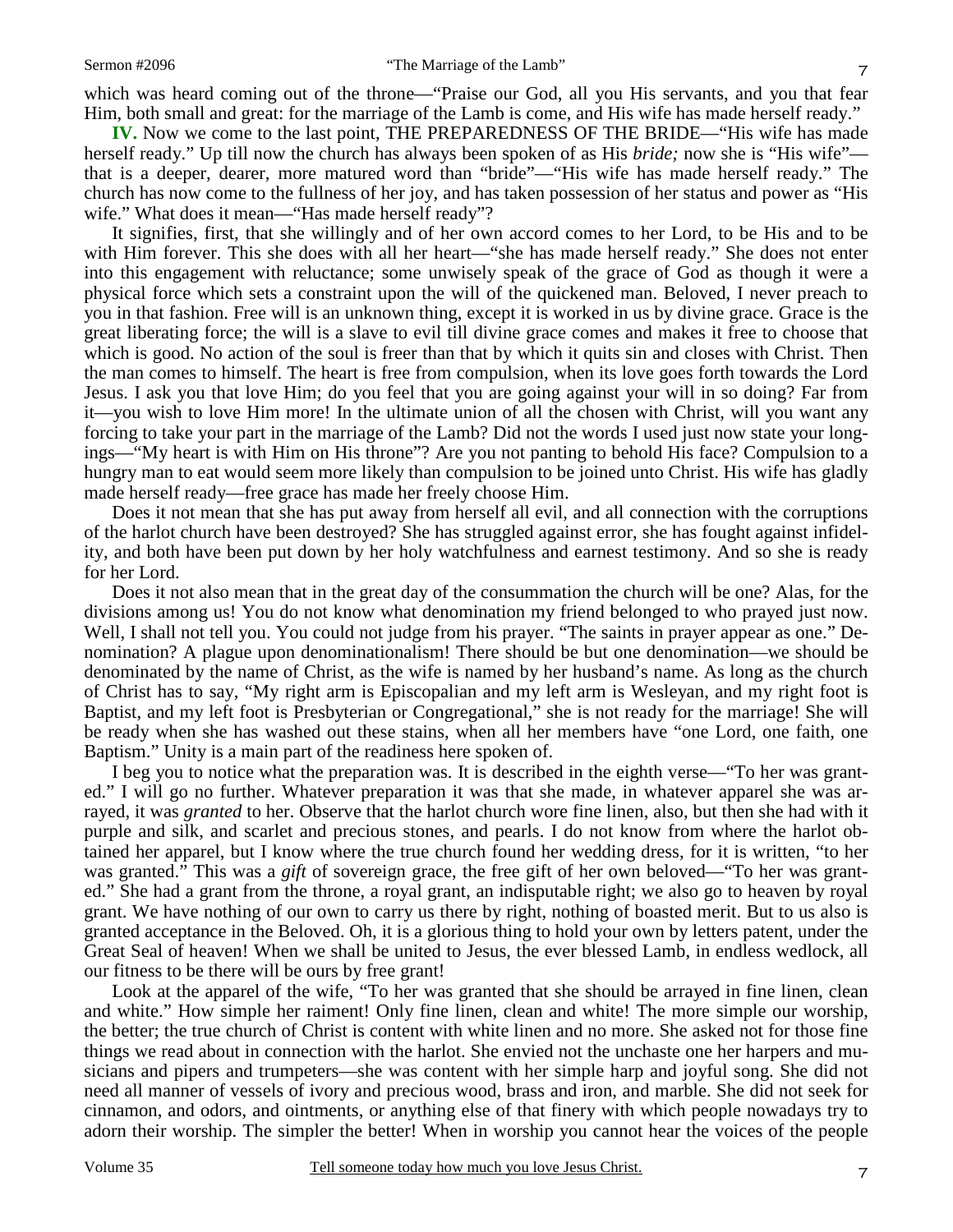which was heard coming out of the throne—"Praise our God, all you His servants, and you that fear Him, both small and great: for the marriage of the Lamb is come, and His wife has made herself ready."

**IV.** Now we come to the last point, THE PREPAREDNESS OF THE BRIDE—"His wife has made herself ready." Up till now the church has always been spoken of as His *bride;* now she is "His wife" that is a deeper, dearer, more matured word than "bride"—"His wife has made herself ready." The church has now come to the fullness of her joy, and has taken possession of her status and power as "His wife." What does it mean—"Has made herself ready"?

It signifies, first, that she willingly and of her own accord comes to her Lord, to be His and to be with Him forever. This she does with all her heart—"she has made herself ready." She does not enter into this engagement with reluctance; some unwisely speak of the grace of God as though it were a physical force which sets a constraint upon the will of the quickened man. Beloved, I never preach to you in that fashion. Free will is an unknown thing, except it is worked in us by divine grace. Grace is the great liberating force; the will is a slave to evil till divine grace comes and makes it free to choose that which is good. No action of the soul is freer than that by which it quits sin and closes with Christ. Then the man comes to himself. The heart is free from compulsion, when its love goes forth towards the Lord Jesus. I ask you that love Him; do you feel that you are going against your will in so doing? Far from it—you wish to love Him more! In the ultimate union of all the chosen with Christ, will you want any forcing to take your part in the marriage of the Lamb? Did not the words I used just now state your longings—"My heart is with Him on His throne"? Are you not panting to behold His face? Compulsion to a hungry man to eat would seem more likely than compulsion to be joined unto Christ. His wife has gladly made herself ready—free grace has made her freely choose Him.

Does it not mean that she has put away from herself all evil, and all connection with the corruptions of the harlot church have been destroyed? She has struggled against error, she has fought against infidelity, and both have been put down by her holy watchfulness and earnest testimony. And so she is ready for her Lord.

Does it not also mean that in the great day of the consummation the church will be one? Alas, for the divisions among us! You do not know what denomination my friend belonged to who prayed just now. Well, I shall not tell you. You could not judge from his prayer. "The saints in prayer appear as one." Denomination? A plague upon denominationalism! There should be but one denomination—we should be denominated by the name of Christ, as the wife is named by her husband's name. As long as the church of Christ has to say, "My right arm is Episcopalian and my left arm is Wesleyan, and my right foot is Baptist, and my left foot is Presbyterian or Congregational," she is not ready for the marriage! She will be ready when she has washed out these stains, when all her members have "one Lord, one faith, one Baptism." Unity is a main part of the readiness here spoken of.

I beg you to notice what the preparation was. It is described in the eighth verse—"To her was granted." I will go no further. Whatever preparation it was that she made, in whatever apparel she was arrayed, it was *granted* to her. Observe that the harlot church wore fine linen, also, but then she had with it purple and silk, and scarlet and precious stones, and pearls. I do not know from where the harlot obtained her apparel, but I know where the true church found her wedding dress, for it is written, "to her was granted." This was a *gift* of sovereign grace, the free gift of her own beloved—"To her was granted." She had a grant from the throne, a royal grant, an indisputable right; we also go to heaven by royal grant. We have nothing of our own to carry us there by right, nothing of boasted merit. But to us also is granted acceptance in the Beloved. Oh, it is a glorious thing to hold your own by letters patent, under the Great Seal of heaven! When we shall be united to Jesus, the ever blessed Lamb, in endless wedlock, all our fitness to be there will be ours by free grant!

Look at the apparel of the wife, "To her was granted that she should be arrayed in fine linen, clean and white." How simple her raiment! Only fine linen, clean and white! The more simple our worship, the better; the true church of Christ is content with white linen and no more. She asked not for those fine things we read about in connection with the harlot. She envied not the unchaste one her harpers and musicians and pipers and trumpeters—she was content with her simple harp and joyful song. She did not need all manner of vessels of ivory and precious wood, brass and iron, and marble. She did not seek for cinnamon, and odors, and ointments, or anything else of that finery with which people nowadays try to adorn their worship. The simpler the better! When in worship you cannot hear the voices of the people